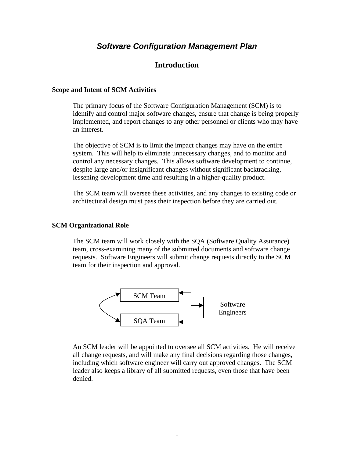# *Software Configuration Management Plan*

# **Introduction**

#### **Scope and Intent of SCM Activities**

The primary focus of the Software Configuration Management (SCM) is to identify and control major software changes, ensure that change is being properly implemented, and report changes to any other personnel or clients who may have an interest.

The objective of SCM is to limit the impact changes may have on the entire system. This will help to eliminate unnecessary changes, and to monitor and control any necessary changes. This allows software development to continue, despite large and/or insignificant changes without significant backtracking, lessening development time and resulting in a higher-quality product.

The SCM team will oversee these activities, and any changes to existing code or architectural design must pass their inspection before they are carried out.

#### **SCM Organizational Role**

The SCM team will work closely with the SQA (Software Quality Assurance) team, cross-examining many of the submitted documents and software change requests. Software Engineers will submit change requests directly to the SCM team for their inspection and approval.



An SCM leader will be appointed to oversee all SCM activities. He will receive all change requests, and will make any final decisions regarding those changes, including which software engineer will carry out approved changes. The SCM leader also keeps a library of all submitted requests, even those that have been denied.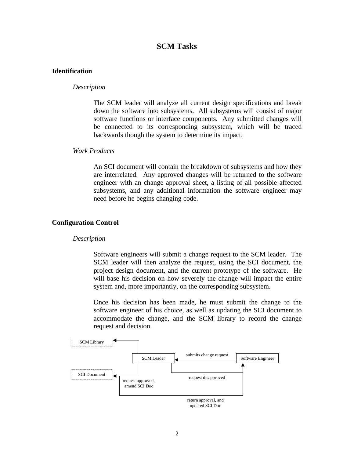## **SCM Tasks**

### **Identification**

#### *Description*

The SCM leader will analyze all current design specifications and break down the software into subsystems. All subsystems will consist of major software functions or interface components. Any submitted changes will be connected to its corresponding subsystem, which will be traced backwards though the system to determine its impact.

### *Work Products*

An SCI document will contain the breakdown of subsystems and how they are interrelated. Any approved changes will be returned to the software engineer with an change approval sheet, a listing of all possible affected subsystems, and any additional information the software engineer may need before he begins changing code.

#### **Configuration Control**

#### *Description*

Software engineers will submit a change request to the SCM leader. The SCM leader will then analyze the request, using the SCI document, the project design document, and the current prototype of the software. He will base his decision on how severely the change will impact the entire system and, more importantly, on the corresponding subsystem.

Once his decision has been made, he must submit the change to the software engineer of his choice, as well as updating the SCI document to accommodate the change, and the SCM library to record the change request and decision.

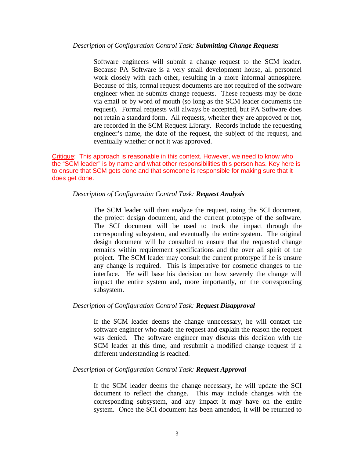#### *Description of Configuration Control Task: Submitting Change Requests*

Software engineers will submit a change request to the SCM leader. Because PA Software is a very small development house, all personnel work closely with each other, resulting in a more informal atmosphere. Because of this, formal request documents are not required of the software engineer when he submits change requests. These requests may be done via email or by word of mouth (so long as the SCM leader documents the request). Formal requests will always be accepted, but PA Software does not retain a standard form. All requests, whether they are approved or not, are recorded in the SCM Request Library. Records include the requesting engineer's name, the date of the request, the subject of the request, and eventually whether or not it was approved.

Critique: This approach is reasonable in this context. However, we need to know who the "SCM leader" is by name and what other responsibilities this person has. Key here is to ensure that SCM gets done and that someone is responsible for making sure that it does get done.

#### *Description of Configuration Control Task: Request Analysis*

The SCM leader will then analyze the request, using the SCI document, the project design document, and the current prototype of the software. The SCI document will be used to track the impact through the corresponding subsystem, and eventually the entire system. The original design document will be consulted to ensure that the requested change remains within requirement specifications and the over all spirit of the project. The SCM leader may consult the current prototype if he is unsure any change is required. This is imperative for cosmetic changes to the interface. He will base his decision on how severely the change will impact the entire system and, more importantly, on the corresponding subsystem.

#### *Description of Configuration Control Task: Request Disapproval*

If the SCM leader deems the change unnecessary, he will contact the software engineer who made the request and explain the reason the request was denied. The software engineer may discuss this decision with the SCM leader at this time, and resubmit a modified change request if a different understanding is reached.

#### *Description of Configuration Control Task: Request Approval*

If the SCM leader deems the change necessary, he will update the SCI document to reflect the change. This may include changes with the corresponding subsystem, and any impact it may have on the entire system. Once the SCI document has been amended, it will be returned to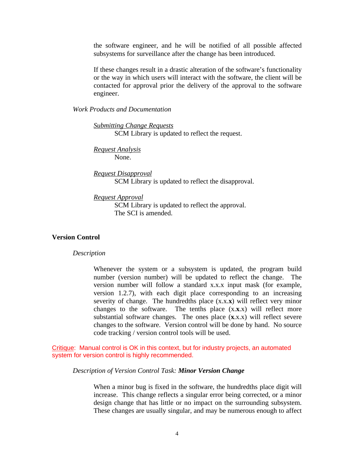the software engineer, and he will be notified of all possible affected subsystems for surveillance after the change has been introduced.

If these changes result in a drastic alteration of the software's functionality or the way in which users will interact with the software, the client will be contacted for approval prior the delivery of the approval to the software engineer.

*Work Products and Documentation*

*Submitting Change Requests* SCM Library is updated to reflect the request.

*Request Analysis* None.

*Request Disapproval* SCM Library is updated to reflect the disapproval.

*Request Approval*

SCM Library is updated to reflect the approval. The SCI is amended.

#### **Version Control**

*Description*

Whenever the system or a subsystem is updated, the program build number (version number) will be updated to reflect the change. The version number will follow a standard x.x.x input mask (for example, version 1.2.7), with each digit place corresponding to an increasing severity of change. The hundredths place (x.x.**x**) will reflect very minor changes to the software. The tenths place (x.**x**.x) will reflect more substantial software changes. The ones place (**x**.x.x) will reflect severe changes to the software. Version control will be done by hand. No source code tracking / version control tools will be used.

Critique: Manual control is OK in this context, but for industry projects, an automated system for version control is highly recommended.

#### *Description of Version Control Task: Minor Version Change*

When a minor bug is fixed in the software, the hundredths place digit will increase. This change reflects a singular error being corrected, or a minor design change that has little or no impact on the surrounding subsystem. These changes are usually singular, and may be numerous enough to affect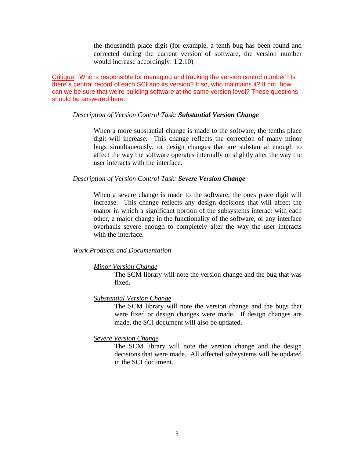the thousandth place digit (for example, a tenth bug has been found and corrected during the current version of software, the version number would increase accordingly: 1.2.10)

Critique: Who is responsible for managing and tracking the version control number? Is there a central record of each SCI and its version? If so, who maintains it? If not, how can we be sure that we're building software at the same version level? These questions should be answered here.

#### *Description of Version Control Task: Substantial Version Change*

When a more substantial change is made to the software, the tenths place digit will increase. This change reflects the correction of many minor bugs simultaneously, or design changes that are substantial enough to affect the way the software operates internally or slightly alter the way the user interacts with the interface.

#### *Description of Version Control Task: Severe Version Change*

When a severe change is made to the software, the ones place digit will increase. This change reflects any design decisions that will affect the manor in which a significant portion of the subsystems interact with each other, a major change in the functionality of the software, or any interface overhauls severe enough to completely alter the way the user interacts with the interface.

#### *Work Products and Documentation*

#### *Minor Version Change*

The SCM library will note the version change and the bug that was fixed.

#### *Substantial Version Change*

The SCM library will note the version change and the bugs that were fixed or design changes were made. If design changes are made, the SCI document will also be updated.

#### *Severe Version Change*

The SCM library will note the version change and the design decisions that were made. All affected subsystems will be updated in the SCI document.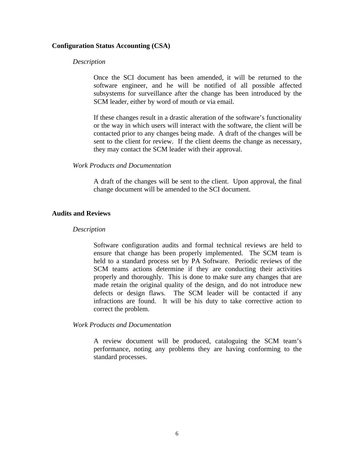### **Configuration Status Accounting (CSA)**

#### *Description*

Once the SCI document has been amended, it will be returned to the software engineer, and he will be notified of all possible affected subsystems for surveillance after the change has been introduced by the SCM leader, either by word of mouth or via email.

If these changes result in a drastic alteration of the software's functionality or the way in which users will interact with the software, the client will be contacted prior to any changes being made. A draft of the changes will be sent to the client for review. If the client deems the change as necessary, they may contact the SCM leader with their approval.

### *Work Products and Documentation*

A draft of the changes will be sent to the client. Upon approval, the final change document will be amended to the SCI document.

### **Audits and Reviews**

#### *Description*

Software configuration audits and formal technical reviews are held to ensure that change has been properly implemented. The SCM team is held to a standard process set by PA Software. Periodic reviews of the SCM teams actions determine if they are conducting their activities properly and thoroughly. This is done to make sure any changes that are made retain the original quality of the design, and do not introduce new defects or design flaws. The SCM leader will be contacted if any infractions are found. It will be his duty to take corrective action to correct the problem.

#### *Work Products and Documentation*

A review document will be produced, cataloguing the SCM team's performance, noting any problems they are having conforming to the standard processes.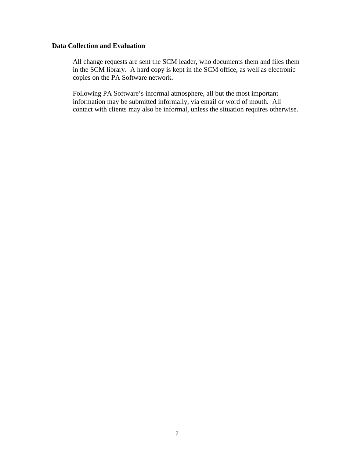## **Data Collection and Evaluation**

All change requests are sent the SCM leader, who documents them and files them in the SCM library. A hard copy is kept in the SCM office, as well as electronic copies on the PA Software network.

Following PA Software's informal atmosphere, all but the most important information may be submitted informally, via email or word of mouth. All contact with clients may also be informal, unless the situation requires otherwise.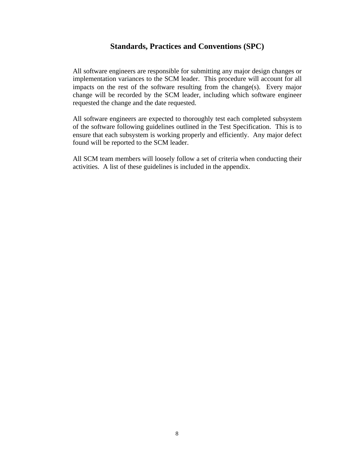# **Standards, Practices and Conventions (SPC)**

All software engineers are responsible for submitting any major design changes or implementation variances to the SCM leader. This procedure will account for all impacts on the rest of the software resulting from the change(s). Every major change will be recorded by the SCM leader, including which software engineer requested the change and the date requested.

All software engineers are expected to thoroughly test each completed subsystem of the software following guidelines outlined in the Test Specification. This is to ensure that each subsystem is working properly and efficiently. Any major defect found will be reported to the SCM leader.

All SCM team members will loosely follow a set of criteria when conducting their activities. A list of these guidelines is included in the appendix.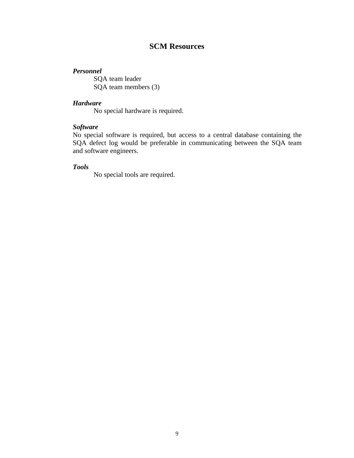# **SCM Resources**

## *Personnel*

SQA team leader SQA team members (3)

### *Hardware*

No special hardware is required.

## *Software*

No special software is required, but access to a central database containing the SQA defect log would be preferable in communicating between the SQA team and software engineers.

### *Tools*

No special tools are required.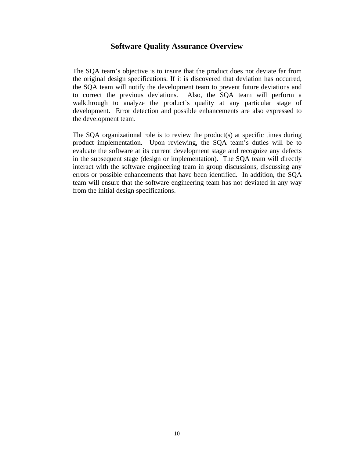## **Software Quality Assurance Overview**

The SQA team's objective is to insure that the product does not deviate far from the original design specifications. If it is discovered that deviation has occurred, the SQA team will notify the development team to prevent future deviations and to correct the previous deviations. Also, the SQA team will perform a walkthrough to analyze the product's quality at any particular stage of development. Error detection and possible enhancements are also expressed to the development team.

The SQA organizational role is to review the product(s) at specific times during product implementation. Upon reviewing, the SQA team's duties will be to evaluate the software at its current development stage and recognize any defects in the subsequent stage (design or implementation). The SQA team will directly interact with the software engineering team in group discussions, discussing any errors or possible enhancements that have been identified. In addition, the SQA team will ensure that the software engineering team has not deviated in any way from the initial design specifications.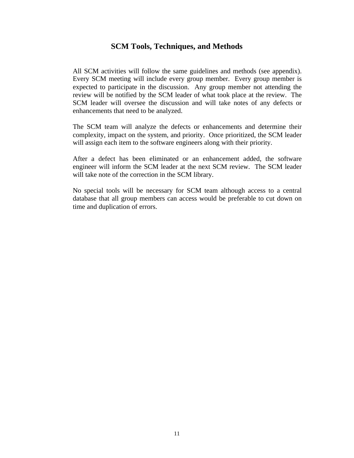## **SCM Tools, Techniques, and Methods**

All SCM activities will follow the same guidelines and methods (see appendix). Every SCM meeting will include every group member. Every group member is expected to participate in the discussion. Any group member not attending the review will be notified by the SCM leader of what took place at the review. The SCM leader will oversee the discussion and will take notes of any defects or enhancements that need to be analyzed.

The SCM team will analyze the defects or enhancements and determine their complexity, impact on the system, and priority. Once prioritized, the SCM leader will assign each item to the software engineers along with their priority.

After a defect has been eliminated or an enhancement added, the software engineer will inform the SCM leader at the next SCM review. The SCM leader will take note of the correction in the SCM library.

No special tools will be necessary for SCM team although access to a central database that all group members can access would be preferable to cut down on time and duplication of errors.